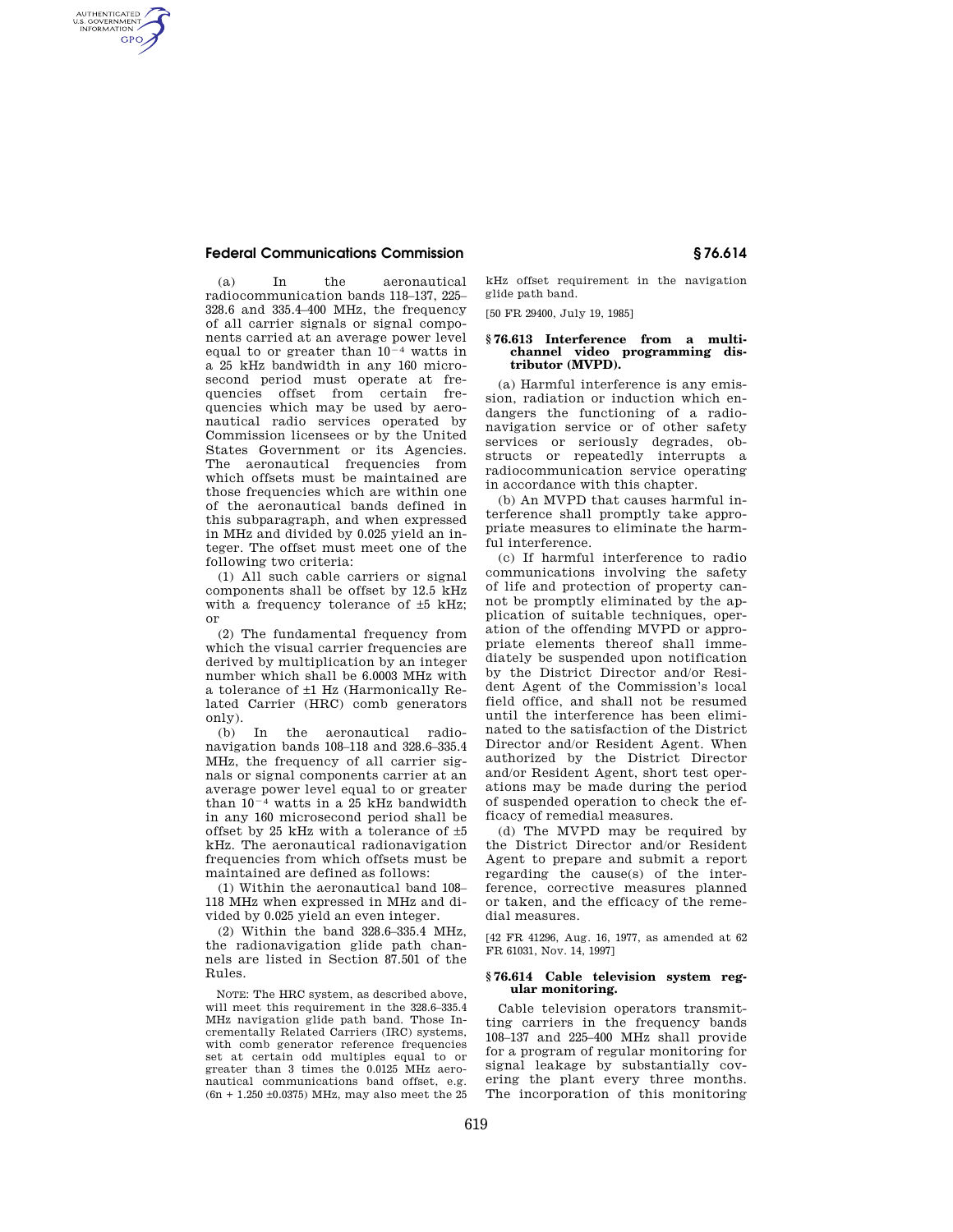## **Federal Communications Commission § 76.614**

AUTHENTICATED<br>U.S. GOVERNMENT<br>INFORMATION **GPO** 

> (a) In the aeronautical radiocommunication bands 118–137, 225– 328.6 and 335.4–400 MHz, the frequency of all carrier signals or signal components carried at an average power level equal to or greater than  $10^{-4}$  watts in a 25 kHz bandwidth in any 160 microsecond period must operate at frequencies offset from certain frequencies which may be used by aeronautical radio services operated by Commission licensees or by the United States Government or its Agencies. The aeronautical frequencies from which offsets must be maintained are those frequencies which are within one of the aeronautical bands defined in this subparagraph, and when expressed in MHz and divided by 0.025 yield an integer. The offset must meet one of the following two criteria:

> (1) All such cable carriers or signal components shall be offset by 12.5 kHz with a frequency tolerance of ±5 kHz; or

> (2) The fundamental frequency from which the visual carrier frequencies are derived by multiplication by an integer number which shall be 6.0003 MHz with a tolerance of ±1 Hz (Harmonically Related Carrier (HRC) comb generators only).

> (b) In the aeronautical radionavigation bands 108–118 and 328.6–335.4 MHz, the frequency of all carrier signals or signal components carrier at an average power level equal to or greater than  $10^{-4}$  watts in a 25 kHz bandwidth in any 160 microsecond period shall be offset by 25 kHz with a tolerance of ±5 kHz. The aeronautical radionavigation frequencies from which offsets must be maintained are defined as follows:

(1) Within the aeronautical band 108– 118 MHz when expressed in MHz and divided by 0.025 yield an even integer.

(2) Within the band 328.6–335.4 MHz, the radionavigation glide path channels are listed in Section 87.501 of the Rules.

NOTE: The HRC system, as described above, will meet this requirement in the 328.6–335.4 MHz navigation glide path band. Those Incrementally Related Carriers (IRC) systems, with comb generator reference frequencies set at certain odd multiples equal to or greater than 3 times the 0.0125 MHz aeronautical communications band offset, e.g. (6n + 1.250 ±0.0375) MHz, may also meet the 25 kHz offset requirement in the navigation glide path band.

[50 FR 29400, July 19, 1985]

#### **§ 76.613 Interference from a multichannel video programming distributor (MVPD).**

(a) Harmful interference is any emission, radiation or induction which endangers the functioning of a radionavigation service or of other safety services or seriously degrades, obstructs or repeatedly interrupts a radiocommunication service operating in accordance with this chapter.

(b) An MVPD that causes harmful interference shall promptly take appropriate measures to eliminate the harmful interference.

(c) If harmful interference to radio communications involving the safety of life and protection of property cannot be promptly eliminated by the application of suitable techniques, operation of the offending MVPD or appropriate elements thereof shall immediately be suspended upon notification by the District Director and/or Resident Agent of the Commission's local field office, and shall not be resumed until the interference has been eliminated to the satisfaction of the District Director and/or Resident Agent. When authorized by the District Director and/or Resident Agent, short test operations may be made during the period of suspended operation to check the efficacy of remedial measures.

(d) The MVPD may be required by the District Director and/or Resident Agent to prepare and submit a report regarding the cause(s) of the interference, corrective measures planned or taken, and the efficacy of the remedial measures.

[42 FR 41296, Aug. 16, 1977, as amended at 62 FR 61031, Nov. 14, 1997]

#### **§ 76.614 Cable television system regular monitoring.**

Cable television operators transmitting carriers in the frequency bands 108–137 and 225–400 MHz shall provide for a program of regular monitoring for signal leakage by substantially covering the plant every three months. The incorporation of this monitoring